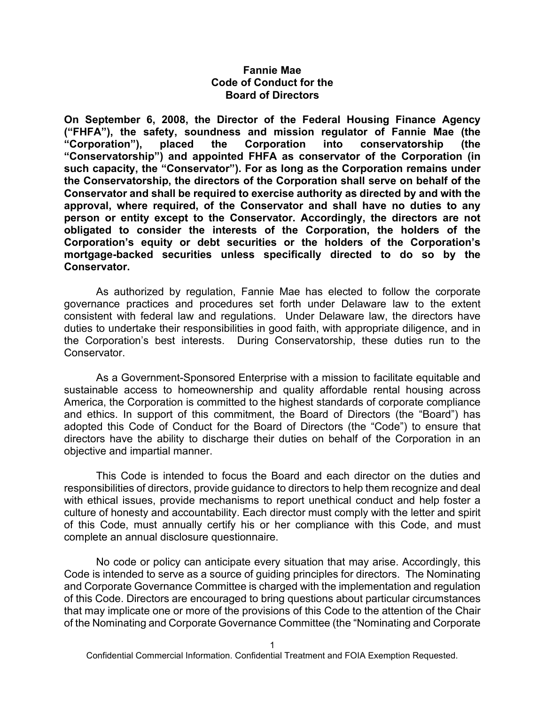#### **Fannie Mae Code of Conduct for the Board of Directors**

**On September 6, 2008, the Director of the Federal Housing Finance Agency ("FHFA"), the safety, soundness and mission regulator of Fannie Mae (the "Corporation"), placed the Corporation into conservatorship (the "Conservatorship") and appointed FHFA as conservator of the Corporation (in such capacity, the "Conservator"). For as long as the Corporation remains under the Conservatorship, the directors of the Corporation shall serve on behalf of the Conservator and shall be required to exercise authority as directed by and with the approval, where required, of the Conservator and shall have no duties to any person or entity except to the Conservator. Accordingly, the directors are not obligated to consider the interests of the Corporation, the holders of the Corporation's equity or debt securities or the holders of the Corporation's mortgage-backed securities unless specifically directed to do so by the Conservator.**

As authorized by regulation, Fannie Mae has elected to follow the corporate governance practices and procedures set forth under Delaware law to the extent consistent with federal law and regulations. Under Delaware law, the directors have duties to undertake their responsibilities in good faith, with appropriate diligence, and in the Corporation's best interests. During Conservatorship, these duties run to the Conservator.

As a Government-Sponsored Enterprise with a mission to facilitate equitable and sustainable access to homeownership and quality affordable rental housing across America, the Corporation is committed to the highest standards of corporate compliance and ethics. In support of this commitment, the Board of Directors (the "Board") has adopted this Code of Conduct for the Board of Directors (the "Code") to ensure that directors have the ability to discharge their duties on behalf of the Corporation in an objective and impartial manner.

This Code is intended to focus the Board and each director on the duties and responsibilities of directors, provide guidance to directors to help them recognize and deal with ethical issues, provide mechanisms to report unethical conduct and help foster a culture of honesty and accountability. Each director must comply with the letter and spirit of this Code, must annually certify his or her compliance with this Code, and must complete an annual disclosure questionnaire.

No code or policy can anticipate every situation that may arise. Accordingly, this Code is intended to serve as a source of guiding principles for directors. The Nominating and Corporate Governance Committee is charged with the implementation and regulation of this Code. Directors are encouraged to bring questions about particular circumstances that may implicate one or more of the provisions of this Code to the attention of the Chair of the Nominating and Corporate Governance Committee (the "Nominating and Corporate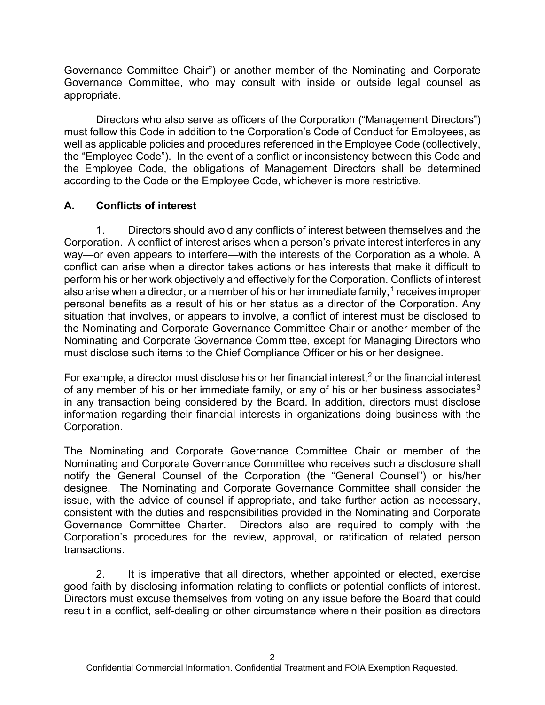Governance Committee Chair") or another member of the Nominating and Corporate Governance Committee, who may consult with inside or outside legal counsel as appropriate.

Directors who also serve as officers of the Corporation ("Management Directors") must follow this Code in addition to the Corporation's Code of Conduct for Employees, as well as applicable policies and procedures referenced in the Employee Code (collectively, the "Employee Code"). In the event of a conflict or inconsistency between this Code and the Employee Code, the obligations of Management Directors shall be determined according to the Code or the Employee Code, whichever is more restrictive.

# **A. Conflicts of interest**

1. Directors should avoid any conflicts of interest between themselves and the Corporation. A conflict of interest arises when a person's private interest interferes in any way—or even appears to interfere—with the interests of the Corporation as a whole. A conflict can arise when a director takes actions or has interests that make it difficult to perform his or her work objectively and effectively for the Corporation. Conflicts of interest also arise when a director, or a member of his or her immediate family,  $1$  receives improper personal benefits as a result of his or her status as a director of the Corporation. Any situation that involves, or appears to involve, a conflict of interest must be disclosed to the Nominating and Corporate Governance Committee Chair or another member of the Nominating and Corporate Governance Committee, except for Managing Directors who must disclose such items to the Chief Compliance Officer or his or her designee.

For example, a director must disclose his or her financial interest,<sup>[2](#page-5-1)</sup> or the financial interest of any member of his or her immediate family, or any of his or her business associates<sup>[3](#page-5-2)</sup> in any transaction being considered by the Board. In addition, directors must disclose information regarding their financial interests in organizations doing business with the Corporation.

The Nominating and Corporate Governance Committee Chair or member of the Nominating and Corporate Governance Committee who receives such a disclosure shall notify the General Counsel of the Corporation (the "General Counsel") or his/her designee. The Nominating and Corporate Governance Committee shall consider the issue, with the advice of counsel if appropriate, and take further action as necessary, consistent with the duties and responsibilities provided in the Nominating and Corporate Governance Committee Charter. Directors also are required to comply with the Corporation's procedures for the review, approval, or ratification of related person transactions.

2. It is imperative that all directors, whether appointed or elected, exercise good faith by disclosing information relating to conflicts or potential conflicts of interest. Directors must excuse themselves from voting on any issue before the Board that could result in a conflict, self-dealing or other circumstance wherein their position as directors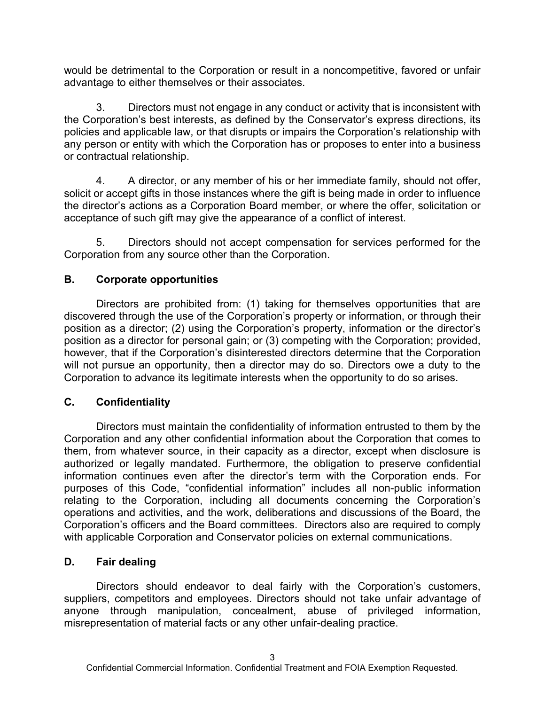would be detrimental to the Corporation or result in a noncompetitive, favored or unfair advantage to either themselves or their associates.

3. Directors must not engage in any conduct or activity that is inconsistent with the Corporation's best interests, as defined by the Conservator's express directions, its policies and applicable law, or that disrupts or impairs the Corporation's relationship with any person or entity with which the Corporation has or proposes to enter into a business or contractual relationship.

4. A director, or any member of his or her immediate family, should not offer, solicit or accept gifts in those instances where the gift is being made in order to influence the director's actions as a Corporation Board member, or where the offer, solicitation or acceptance of such gift may give the appearance of a conflict of interest.

5. Directors should not accept compensation for services performed for the Corporation from any source other than the Corporation.

# **B. Corporate opportunities**

Directors are prohibited from: (1) taking for themselves opportunities that are discovered through the use of the Corporation's property or information, or through their position as a director; (2) using the Corporation's property, information or the director's position as a director for personal gain; or (3) competing with the Corporation; provided, however, that if the Corporation's disinterested directors determine that the Corporation will not pursue an opportunity, then a director may do so. Directors owe a duty to the Corporation to advance its legitimate interests when the opportunity to do so arises.

# **C. Confidentiality**

Directors must maintain the confidentiality of information entrusted to them by the Corporation and any other confidential information about the Corporation that comes to them, from whatever source, in their capacity as a director, except when disclosure is authorized or legally mandated. Furthermore, the obligation to preserve confidential information continues even after the director's term with the Corporation ends. For purposes of this Code, "confidential information" includes all non-public information relating to the Corporation, including all documents concerning the Corporation's operations and activities, and the work, deliberations and discussions of the Board, the Corporation's officers and the Board committees. Directors also are required to comply with applicable Corporation and Conservator policies on external communications.

### **D. Fair dealing**

Directors should endeavor to deal fairly with the Corporation's customers, suppliers, competitors and employees. Directors should not take unfair advantage of anyone through manipulation, concealment, abuse of privileged information, misrepresentation of material facts or any other unfair-dealing practice.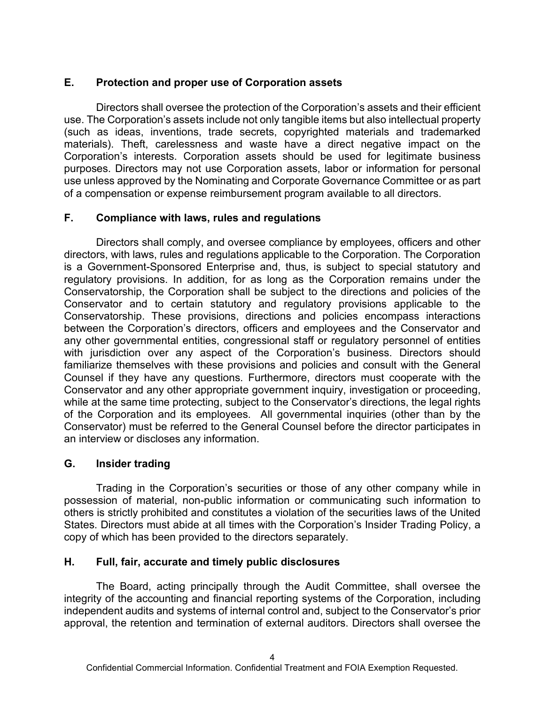### **E. Protection and proper use of Corporation assets**

Directors shall oversee the protection of the Corporation's assets and their efficient use. The Corporation's assets include not only tangible items but also intellectual property (such as ideas, inventions, trade secrets, copyrighted materials and trademarked materials). Theft, carelessness and waste have a direct negative impact on the Corporation's interests. Corporation assets should be used for legitimate business purposes. Directors may not use Corporation assets, labor or information for personal use unless approved by the Nominating and Corporate Governance Committee or as part of a compensation or expense reimbursement program available to all directors.

#### **F. Compliance with laws, rules and regulations**

Directors shall comply, and oversee compliance by employees, officers and other directors, with laws, rules and regulations applicable to the Corporation. The Corporation is a Government-Sponsored Enterprise and, thus, is subject to special statutory and regulatory provisions. In addition, for as long as the Corporation remains under the Conservatorship, the Corporation shall be subject to the directions and policies of the Conservator and to certain statutory and regulatory provisions applicable to the Conservatorship. These provisions, directions and policies encompass interactions between the Corporation's directors, officers and employees and the Conservator and any other governmental entities, congressional staff or regulatory personnel of entities with jurisdiction over any aspect of the Corporation's business. Directors should familiarize themselves with these provisions and policies and consult with the General Counsel if they have any questions. Furthermore, directors must cooperate with the Conservator and any other appropriate government inquiry, investigation or proceeding, while at the same time protecting, subject to the Conservator's directions, the legal rights of the Corporation and its employees. All governmental inquiries (other than by the Conservator) must be referred to the General Counsel before the director participates in an interview or discloses any information.

#### **G. Insider trading**

Trading in the Corporation's securities or those of any other company while in possession of material, non-public information or communicating such information to others is strictly prohibited and constitutes a violation of the securities laws of the United States. Directors must abide at all times with the Corporation's Insider Trading Policy, a copy of which has been provided to the directors separately.

#### **H. Full, fair, accurate and timely public disclosures**

The Board, acting principally through the Audit Committee, shall oversee the integrity of the accounting and financial reporting systems of the Corporation, including independent audits and systems of internal control and, subject to the Conservator's prior approval, the retention and termination of external auditors. Directors shall oversee the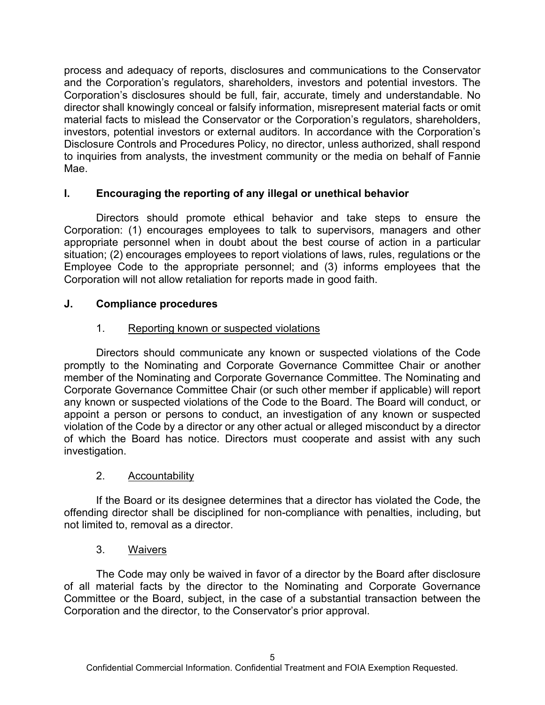process and adequacy of reports, disclosures and communications to the Conservator and the Corporation's regulators, shareholders, investors and potential investors. The Corporation's disclosures should be full, fair, accurate, timely and understandable. No director shall knowingly conceal or falsify information, misrepresent material facts or omit material facts to mislead the Conservator or the Corporation's regulators, shareholders, investors, potential investors or external auditors. In accordance with the Corporation's Disclosure Controls and Procedures Policy, no director, unless authorized, shall respond to inquiries from analysts, the investment community or the media on behalf of Fannie Mae.

### **I. Encouraging the reporting of any illegal or unethical behavior**

Directors should promote ethical behavior and take steps to ensure the Corporation: (1) encourages employees to talk to supervisors, managers and other appropriate personnel when in doubt about the best course of action in a particular situation; (2) encourages employees to report violations of laws, rules, regulations or the Employee Code to the appropriate personnel; and (3) informs employees that the Corporation will not allow retaliation for reports made in good faith.

### **J. Compliance procedures**

### 1. Reporting known or suspected violations

Directors should communicate any known or suspected violations of the Code promptly to the Nominating and Corporate Governance Committee Chair or another member of the Nominating and Corporate Governance Committee. The Nominating and Corporate Governance Committee Chair (or such other member if applicable) will report any known or suspected violations of the Code to the Board. The Board will conduct, or appoint a person or persons to conduct, an investigation of any known or suspected violation of the Code by a director or any other actual or alleged misconduct by a director of which the Board has notice. Directors must cooperate and assist with any such investigation.

### 2. Accountability

If the Board or its designee determines that a director has violated the Code, the offending director shall be disciplined for non-compliance with penalties, including, but not limited to, removal as a director.

### 3. Waivers

The Code may only be waived in favor of a director by the Board after disclosure of all material facts by the director to the Nominating and Corporate Governance Committee or the Board, subject, in the case of a substantial transaction between the Corporation and the director, to the Conservator's prior approval.